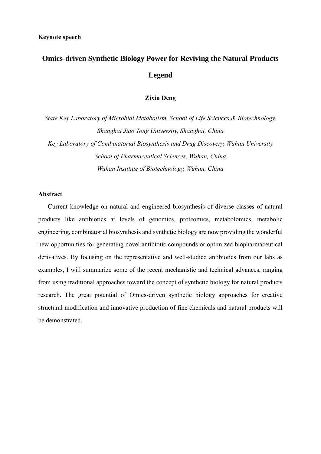# **Omics-driven Synthetic Biology Power for Reviving the Natural Products Legend**

# **Zixin Deng**

*State Key Laboratory of Microbial Metabolism, School of Life Sciences & Biotechnology, Shanghai Jiao Tong University, Shanghai, China Key Laboratory of Combinatorial Biosynthesis and Drug Discovery, Wuhan University School of Pharmaceutical Sciences, Wuhan, China Wuhan Institute of Biotechnology, Wuhan, China*

### **Abstract**

Current knowledge on natural and engineered biosynthesis of diverse classes of natural products like antibiotics at levels of genomics, proteomics, metabolomics, metabolic engineering, combinatorial biosynthesis and synthetic biology are now providing the wonderful new opportunities for generating novel antibiotic compounds or optimized biopharmaceutical derivatives. By focusing on the representative and well-studied antibiotics from our labs as examples, I will summarize some of the recent mechanistic and technical advances, ranging from using traditional approaches toward the concept of synthetic biology for natural products research. The great potential of Omics-driven synthetic biology approaches for creative structural modification and innovative production of fine chemicals and natural products will be demonstrated.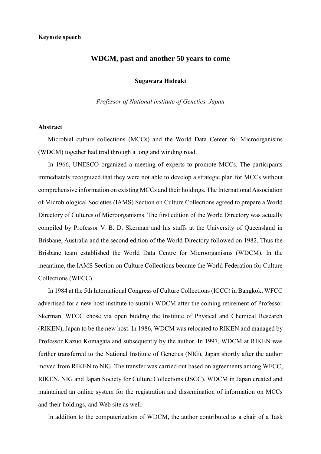# **WDCM, past and another 50 years to come**

# **Sugawara Hideaki**

*Professor of National institute of Genetics, Japan*

#### **Abstract**

Microbial culture collections (MCCs) and the World Data Center for Microorganisms (WDCM) together had trod through a long and winding road.

 In 1966, UNESCO organized a meeting of experts to promote MCCs. The participants immediately recognized that they were not able to develop a strategic plan for MCCs without comprehensive information on existing MCCs and their holdings. The International Association of Microbiological Societies (IAMS) Section on Culture Collections agreed to prepare a World Directory of Cultures of Microorganisms. The first edition of the World Directory was actually compiled by Professor V. B. D. Skerman and his staffs at the University of Queensland in Brisbane, Australia and the second edition of the World Directory followed on 1982. Thus the Brisbane team established the World Data Centre for Microorganisms (WDCM). In the meantime, the IAMS Section on Culture Collections became the World Federation for Culture Collections (WFCC).

 In 1984 at the 5th International Congress of Culture Collections (ICCC) in Bangkok, WFCC advertised for a new host institute to sustain WDCM after the coming retirement of Professor Skerman. WFCC chose via open bidding the Institute of Physical and Chemical Research (RIKEN), Japan to be the new host. In 1986, WDCM was relocated to RIKEN and managed by Professor Kazuo Komagata and subsequently by the author. In 1997, WDCM at RIKEN was further transferred to the National Institute of Genetics (NIG), Japan shortly after the author moved from RIKEN to NIG. The transfer was carried out based on agreements among WFCC, RIKEN, NIG and Japan Society for Culture Collections (JSCC). WDCM in Japan created and maintained an online system for the registration and dissemination of information on MCCs and their holdings, and Web site as well.

In addition to the computerization of WDCM, the author contributed as a chair of a Task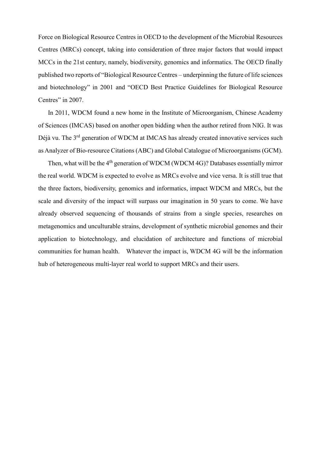Force on Biological Resource Centres in OECD to the development of the Microbial Resources Centres (MRCs) concept, taking into consideration of three major factors that would impact MCCs in the 21st century, namely, biodiversity, genomics and informatics. The OECD finally published two reports of "Biological Resource Centres – underpinning the future of life sciences and biotechnology" in 2001 and "OECD Best Practice Guidelines for Biological Resource Centres" in 2007.

 In 2011, WDCM found a new home in the Institute of Microorganism, Chinese Academy of Sciences (IMCAS) based on another open bidding when the author retired from NIG. It was Déjà vu. The 3<sup>rd</sup> generation of WDCM at IMCAS has already created innovative services such as Analyzer of Bio-resource Citations (ABC) and Global Catalogue of Microorganisms (GCM).

Then, what will be the 4<sup>th</sup> generation of WDCM (WDCM 4G)? Databases essentially mirror the real world. WDCM is expected to evolve as MRCs evolve and vice versa. It is still true that the three factors, biodiversity, genomics and informatics, impact WDCM and MRCs, but the scale and diversity of the impact will surpass our imagination in 50 years to come. We have already observed sequencing of thousands of strains from a single species, researches on metagenomics and unculturable strains, development of synthetic microbial genomes and their application to biotechnology, and elucidation of architecture and functions of microbial communities for human health. Whatever the impact is, WDCM 4G will be the information hub of heterogeneous multi-layer real world to support MRCs and their users.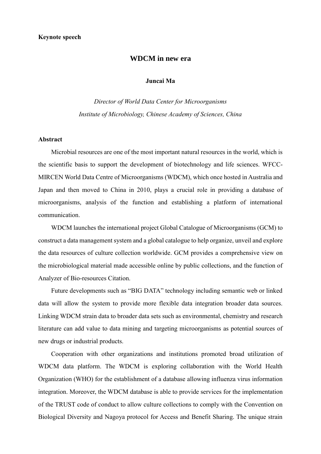# **WDCM in new era**

# **Juncai Ma**

*Director of World Data Center for Microorganisms Institute of Microbiology, Chinese Academy of Sciences, China*

# **Abstract**

Microbial resources are one of the most important natural resources in the world, which is the scientific basis to support the development of biotechnology and life sciences. WFCC-MIRCEN World Data Centre of Microorganisms (WDCM), which once hosted in Australia and Japan and then moved to China in 2010, plays a crucial role in providing a database of microorganisms, analysis of the function and establishing a platform of international communication.

WDCM launches the international project Global Catalogue of Microorganisms (GCM) to construct a data management system and a global catalogue to help organize, unveil and explore the data resources of culture collection worldwide. GCM provides a comprehensive view on the microbiological material made accessible online by public collections, and the function of Analyzer of Bio-resources Citation.

Future developments such as "BIG DATA" technology including semantic web or linked data will allow the system to provide more flexible data integration broader data sources. Linking WDCM strain data to broader data sets such as environmental, chemistry and research literature can add value to data mining and targeting microorganisms as potential sources of new drugs or industrial products.

Cooperation with other organizations and institutions promoted broad utilization of WDCM data platform. The WDCM is exploring collaboration with the World Health Organization (WHO) for the establishment of a database allowing influenza virus information integration. Moreover, the WDCM database is able to provide services for the implementation of the TRUST code of conduct to allow culture collections to comply with the Convention on Biological Diversity and Nagoya protocol for Access and Benefit Sharing. The unique strain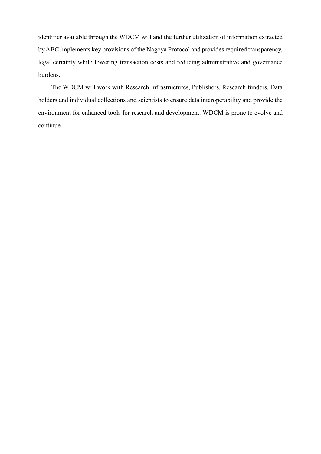identifier available through the WDCM will and the further utilization of information extracted by ABC implements key provisions of the Nagoya Protocol and provides required transparency, legal certainty while lowering transaction costs and reducing administrative and governance burdens.

The WDCM will work with Research Infrastructures, Publishers, Research funders, Data holders and individual collections and scientists to ensure data interoperability and provide the environment for enhanced tools for research and development. WDCM is prone to evolve and continue.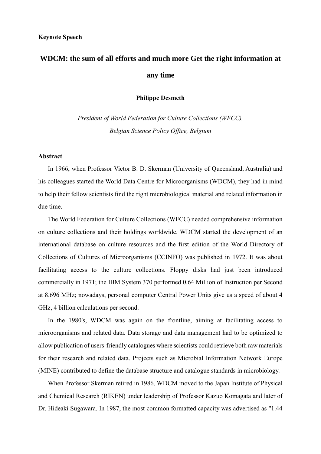# **WDCM: the sum of all efforts and much more Get the right information at any time**

**Philippe Desmeth**

*President of World Federation for Culture Collections (WFCC), Belgian Science Policy Office, Belgium*

## **Abstract**

In 1966, when Professor Victor B. D. Skerman (University of Queensland, Australia) and his colleagues started the World Data Centre for Microorganisms (WDCM), they had in mind to help their fellow scientists find the right microbiological material and related information in due time.

The World Federation for Culture Collections (WFCC) needed comprehensive information on culture collections and their holdings worldwide. WDCM started the development of an international database on culture resources and the first edition of the World Directory of Collections of Cultures of Microorganisms (CCINFO) was published in 1972. It was about facilitating access to the culture collections. Floppy disks had just been introduced commercially in 1971; the IBM System 370 performed 0.64 Million of Instruction per Second at 8.696 MHz; nowadays, personal computer Central Power Units give us a speed of about 4 GHz, 4 billion calculations per second.

In the 1980's, WDCM was again on the frontline, aiming at facilitating access to microorganisms and related data. Data storage and data management had to be optimized to allow publication of users-friendly catalogues where scientists could retrieve both raw materials for their research and related data. Projects such as Microbial Information Network Europe (MINE) contributed to define the database structure and catalogue standards in microbiology.

When Professor Skerman retired in 1986, WDCM moved to the Japan Institute of Physical and Chemical Research (RIKEN) under leadership of Professor Kazuo Komagata and later of Dr. Hideaki Sugawara. In 1987, the most common formatted capacity was advertised as "1.44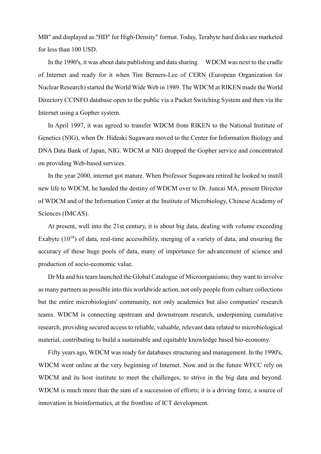MB" and displayed as "HD" for High-Density" format. Today, Terabyte hard disks are marketed for less than 100 USD.

In the 1990's, it was about data publishing and data sharing. WDCM was next to the cradle of Internet and ready for it when Tim Berners-Lee of CERN (European Organization for Nuclear Research) started the World Wide Web in 1989. The WDCM at RIKEN made the World Directory CCINFO database open to the public via a Packet Switching System and then via the Internet using a Gopher system.

In April 1997, it was agreed to transfer WDCM from RIKEN to the National Institute of Genetics (NIG), when Dr. Hideaki Sugawara moved to the Center for Information Biology and DNA Data Bank of Japan, NIG. WDCM at NIG dropped the Gopher service and concentrated on providing Web-based services.

In the year 2000, internet got mature. When Professor Sugawara retired he looked to instill new life to WDCM, he handed the destiny of WDCM over to Dr. Juncai MA, present Director of WDCM and of the Information Center at the Institute of Microbiology, Chinese Academy of Sciences (IMCAS).

At present, well into the 21st century, it is about big data, dealing with volume exceeding Exabyte  $(10^{18})$  of data, real-time accessibility, merging of a variety of data, and ensuring the accuracy of these huge pools of data, many of importance for advancement of science and production of socio-economic value.

Dr Ma and his team launched the Global Catalogue of Microorganisms; they want to involve as many partners as possible into this worldwide action, not only people from culture collections but the entire microbiologists' community, not only academics but also companies' research teams. WDCM is connecting upstream and downstream research, underpinning cumulative research, providing secured access to reliable, valuable, relevant data related to microbiological material, contributing to build a sustainable and equitable knowledge based bio-economy.

Fifty years ago, WDCM was ready for databases structuring and management. In the 1990's, WDCM went online at the very beginning of Internet. Now and in the future WFCC rely on WDCM and its host institute to meet the challenges, to strive in the big data and beyond. WDCM is much more than the sum of a succession of efforts; it is a driving force, a source of innovation in bioinformatics, at the frontline of ICT development.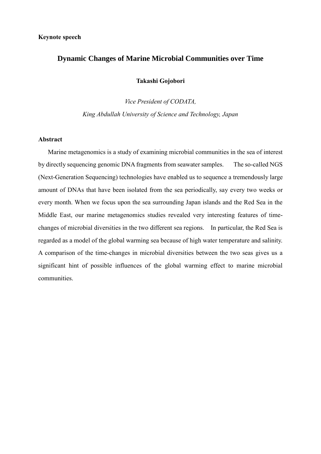# **Dynamic Changes of Marine Microbial Communities over Time**

**Takashi Gojobori**

*Vice President of CODATA, King Abdullah University of Science and Technology, Japan*

# **Abstract**

Marine metagenomics is a study of examining microbial communities in the sea of interest by directly sequencing genomic DNA fragments from seawater samples. The so-called NGS (Next-Generation Sequencing) technologies have enabled us to sequence a tremendously large amount of DNAs that have been isolated from the sea periodically, say every two weeks or every month. When we focus upon the sea surrounding Japan islands and the Red Sea in the Middle East, our marine metagenomics studies revealed very interesting features of timechanges of microbial diversities in the two different sea regions. In particular, the Red Sea is regarded as a model of the global warming sea because of high water temperature and salinity. A comparison of the time-changes in microbial diversities between the two seas gives us a significant hint of possible influences of the global warming effect to marine microbial communities.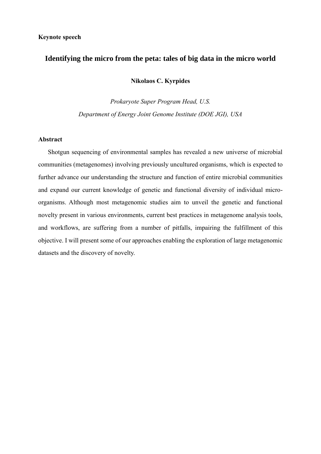# **Identifying the micro from the peta: tales of big data in the micro world**

**Nikolaos C. Kyrpides**

*Prokaryote Super Program Head, U.S. Department of Energy Joint Genome Institute (DOE JGI), USA*

# **Abstract**

Shotgun sequencing of environmental samples has revealed a new universe of microbial communities (metagenomes) involving previously uncultured organisms, which is expected to further advance our understanding the structure and function of entire microbial communities and expand our current knowledge of genetic and functional diversity of individual microorganisms. Although most metagenomic studies aim to unveil the genetic and functional novelty present in various environments, current best practices in metagenome analysis tools, and workflows, are suffering from a number of pitfalls, impairing the fulfillment of this objective. I will present some of our approaches enabling the exploration of large metagenomic datasets and the discovery of novelty.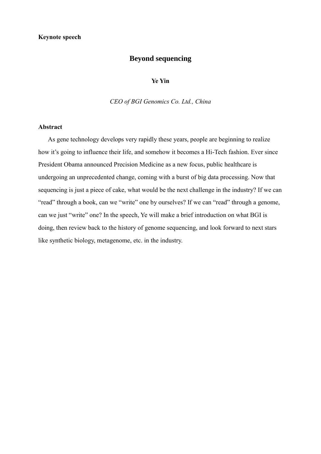# **Beyond sequencing**

### **Ye Yin**

*CEO of BGI Genomics Co. Ltd., China*

## **Abstract**

As gene technology develops very rapidly these years, people are beginning to realize how it's going to influence their life, and somehow it becomes a Hi-Tech fashion. Ever since President Obama announced Precision Medicine as a new focus, public healthcare is undergoing an unprecedented change, coming with a burst of big data processing. Now that sequencing is just a piece of cake, what would be the next challenge in the industry? If we can "read" through a book, can we "write" one by ourselves? If we can "read" through a genome, can we just "write" one? In the speech, Ye will make a brief introduction on what BGI is doing, then review back to the history of genome sequencing, and look forward to next stars like synthetic biology, metagenome, etc. in the industry.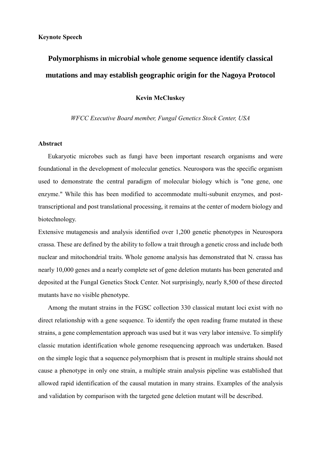# **Polymorphisms in microbial whole genome sequence identify classical mutations and may establish geographic origin for the Nagoya Protocol**

# **Kevin McCluskey**

# *WFCC Executive Board member, Fungal Genetics Stock Center, USA*

#### **Abstract**

Eukaryotic microbes such as fungi have been important research organisms and were foundational in the development of molecular genetics. Neurospora was the specific organism used to demonstrate the central paradigm of molecular biology which is "one gene, one enzyme." While this has been modified to accommodate multi-subunit enzymes, and posttranscriptional and post translational processing, it remains at the center of modern biology and biotechnology.

Extensive mutagenesis and analysis identified over 1,200 genetic phenotypes in Neurospora crassa. These are defined by the ability to follow a trait through a genetic cross and include both nuclear and mitochondrial traits. Whole genome analysis has demonstrated that N. crassa has nearly 10,000 genes and a nearly complete set of gene deletion mutants has been generated and deposited at the Fungal Genetics Stock Center. Not surprisingly, nearly 8,500 of these directed mutants have no visible phenotype.

Among the mutant strains in the FGSC collection 330 classical mutant loci exist with no direct relationship with a gene sequence. To identify the open reading frame mutated in these strains, a gene complementation approach was used but it was very labor intensive. To simplify classic mutation identification whole genome resequencing approach was undertaken. Based on the simple logic that a sequence polymorphism that is present in multiple strains should not cause a phenotype in only one strain, a multiple strain analysis pipeline was established that allowed rapid identification of the causal mutation in many strains. Examples of the analysis and validation by comparison with the targeted gene deletion mutant will be described.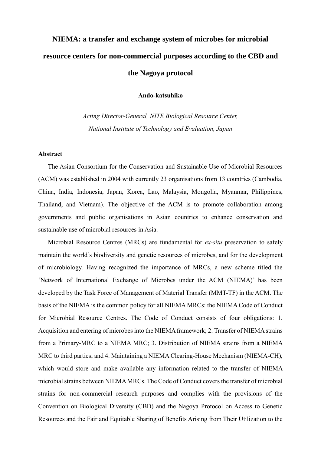# **NIEMA: a transfer and exchange system of microbes for microbial resource centers for non-commercial purposes according to the CBD and the Nagoya protocol**

**Ando-katsuhiko**

*Acting Director-General, NITE Biological Resource Center, National Institute of Technology and Evaluation, Japan*

#### **Abstract**

The Asian Consortium for the Conservation and Sustainable Use of Microbial Resources (ACM) was established in 2004 with currently 23 organisations from 13 countries (Cambodia, China, India, Indonesia, Japan, Korea, Lao, Malaysia, Mongolia, Myanmar, Philippines, Thailand, and Vietnam). The objective of the ACM is to promote collaboration among governments and public organisations in Asian countries to enhance conservation and sustainable use of microbial resources in Asia.

Microbial Resource Centres (MRCs) are fundamental for *ex-situ* preservation to safely maintain the world's biodiversity and genetic resources of microbes, and for the development of microbiology. Having recognized the importance of MRCs, a new scheme titled the 'Network of International Exchange of Microbes under the ACM (NIEMA)' has been developed by the Task Force of Management of Material Transfer (MMT-TF) in the ACM. The basis of the NIEMA is the common policy for all NIEMA MRCs: the NIEMA Code of Conduct for Microbial Resource Centres. The Code of Conduct consists of four obligations: 1. Acquisition and entering of microbes into the NIEMA framework; 2. Transfer of NIEMA strains from a Primary-MRC to a NIEMA MRC; 3. Distribution of NIEMA strains from a NIEMA MRC to third parties; and 4. Maintaining a NIEMA Clearing-House Mechanism (NIEMA-CH), which would store and make available any information related to the transfer of NIEMA microbial strains between NIEMA MRCs. The Code of Conduct covers the transfer of microbial strains for non-commercial research purposes and complies with the provisions of the Convention on Biological Diversity (CBD) and the Nagoya Protocol on Access to Genetic Resources and the Fair and Equitable Sharing of Benefits Arising from Their Utilization to the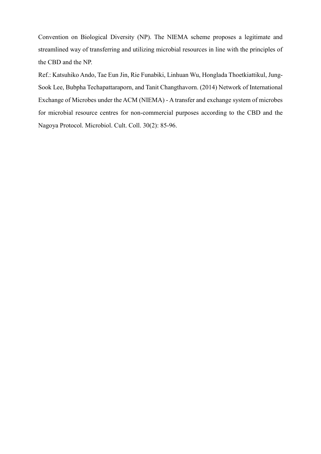Convention on Biological Diversity (NP). The NIEMA scheme proposes a legitimate and streamlined way of transferring and utilizing microbial resources in line with the principles of the CBD and the NP.

Ref.: Katsuhiko Ando, Tae Eun Jin, Rie Funabiki, Linhuan Wu, Honglada Thoetkiattikul, Jung-Sook Lee, Bubpha Techapattaraporn, and Tanit Changthavorn. (2014) Network of International Exchange of Microbes under the ACM (NIEMA) - A transfer and exchange system of microbes for microbial resource centres for non-commercial purposes according to the CBD and the Nagoya Protocol. Microbiol. Cult. Coll. 30(2): 85-96.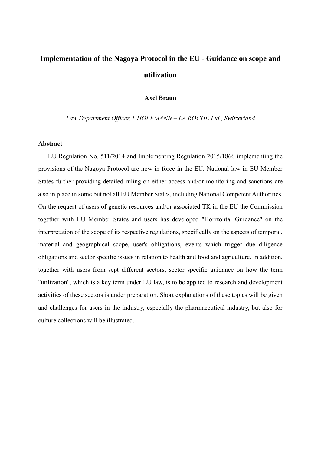# **Implementation of the Nagoya Protocol in the EU - Guidance on scope and utilization**

# **Axel Braun**

#### *Law Department Officer, F.HOFFMANN – LA ROCHE Ltd., Switzerland*

#### **Abstract**

EU Regulation No. 511/2014 and Implementing Regulation 2015/1866 implementing the provisions of the Nagoya Protocol are now in force in the EU. National law in EU Member States further providing detailed ruling on either access and/or monitoring and sanctions are also in place in some but not all EU Member States, including National Competent Authorities. On the request of users of genetic resources and/or associated TK in the EU the Commission together with EU Member States and users has developed "Horizontal Guidance" on the interpretation of the scope of its respective regulations, specifically on the aspects of temporal, material and geographical scope, user's obligations, events which trigger due diligence obligations and sector specific issues in relation to health and food and agriculture. In addition, together with users from sept different sectors, sector specific guidance on how the term "utilization", which is a key term under EU law, is to be applied to research and development activities of these sectors is under preparation. Short explanations of these topics will be given and challenges for users in the industry, especially the pharmaceutical industry, but also for culture collections will be illustrated.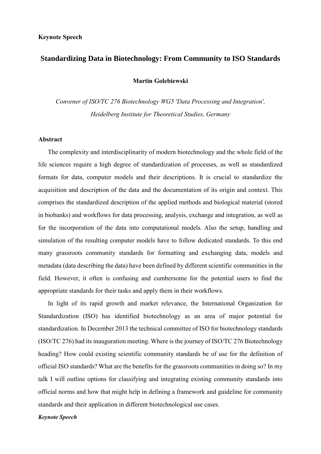# **Standardizing Data in Biotechnology: From Community to ISO Standards**

**Martin Golebiewski**

*Convener of ISO/TC 276 Biotechnology WG5 'Data Processing and Integration', Heidelberg Institute for Theoretical Studies, Germany*

#### **Abstract**

The complexity and interdisciplinarity of modern biotechnology and the whole field of the life sciences require a high degree of standardization of processes, as well as standardized formats for data, computer models and their descriptions. It is crucial to standardize the acquisition and description of the data and the documentation of its origin and context. This comprises the standardized description of the applied methods and biological material (stored in biobanks) and workflows for data processing, analysis, exchange and integration, as well as for the incorporation of the data into computational models. Also the setup, handling and simulation of the resulting computer models have to follow dedicated standards. To this end many grassroots community standards for formatting and exchanging data, models and metadata (data describing the data) have been defined by different scientific communities in the field. However, it often is confusing and cumbersome for the potential users to find the appropriate standards for their tasks and apply them in their workflows.

In light of its rapid growth and market relevance, the International Organization for Standardization (ISO) has identified biotechnology as an area of major potential for standardization. In December 2013 the technical committee of ISO for biotechnology standards (ISO/TC 276) had its inauguration meeting. Where is the journey of ISO/TC 276 Biotechnology heading? How could existing scientific community standards be of use for the definition of official ISO standards? What are the benefits for the grassroots communities in doing so? In my talk I will outline options for classifying and integrating existing community standards into official norms and how that might help in defining a framework and guideline for community standards and their application in different biotechnological use cases.

*Keynote Speech*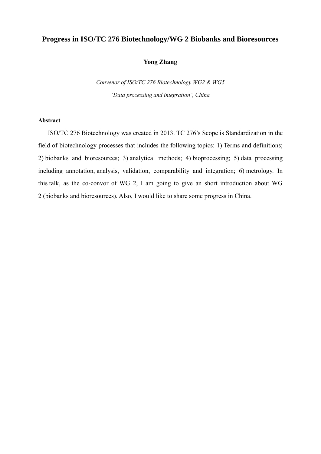# **Progress in ISO/TC 276 Biotechnology/WG 2 Biobanks and Bioresources**

# **Yong Zhang**

*Convenor of ISO/TC 276 Biotechnology WG2 & WG5 'Data processing and integration', China*

#### **Abstract**

ISO/TC 276 Biotechnology was created in 2013. TC 276's Scope is Standardization in the field of biotechnology processes that includes the following topics: 1) Terms and definitions; 2) biobanks and bioresources; 3) analytical methods; 4) bioprocessing; 5) data processing including annotation, analysis, validation, comparability and integration; 6) metrology. In this talk, as the co-convor of WG 2, I am going to give an short introduction about WG 2 (biobanks and bioresources). Also, I would like to share some progress in China.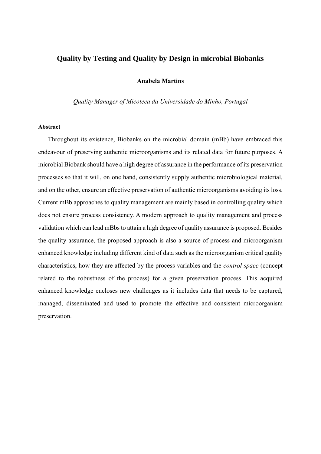# **Quality by Testing and Quality by Design in microbial Biobanks**

## **Anabela Martins**

*Quality Manager of Micoteca da Universidade do Minho, Portugal*

### **Abstract**

Throughout its existence, Biobanks on the microbial domain (mBb) have embraced this endeavour of preserving authentic microorganisms and its related data for future purposes. A microbial Biobank should have a high degree of assurance in the performance of its preservation processes so that it will, on one hand, consistently supply authentic microbiological material, and on the other, ensure an effective preservation of authentic microorganisms avoiding its loss. Current mBb approaches to quality management are mainly based in controlling quality which does not ensure process consistency. A modern approach to quality management and process validation which can lead mBbs to attain a high degree of quality assurance is proposed. Besides the quality assurance, the proposed approach is also a source of process and microorganism enhanced knowledge including different kind of data such as the microorganism critical quality characteristics, how they are affected by the process variables and the *control space* (concept related to the robustness of the process) for a given preservation process. This acquired enhanced knowledge encloses new challenges as it includes data that needs to be captured, managed, disseminated and used to promote the effective and consistent microorganism preservation.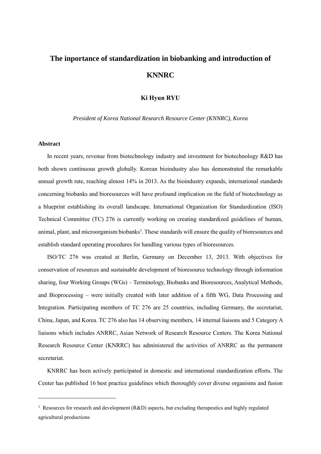# **The inportance of standardization in biobanking and introduction of KNNRC**

## **Ki Hyun RYU**

*President of Korea National Research Resource Center (KNNRC), Korea*

#### **Abstract**

 $\overline{a}$ 

In recent years, revenue from biotechnology industry and investment for biotechnology R&D has both shown continuous growth globally. Korean bioindustry also has demonstrated the remarkable annual growth rate, reaching almost 14% in 2013. As the bioindustry expands, international standards concerning biobanks and bioresources will have profound implication on the field of biotechnology as a blueprint establishing its overall landscape. International Organization for Standardization (ISO) Technical Committee (TC) 276 is currently working on creating standardized guidelines of human, animal, plant, and microorganism biobanks<sup>1</sup>. These standards will ensure the quality of bioresources and establish standard operating procedures for handling various types of bioresources.

ISO/TC 276 was created at Berlin, Germany on December 13, 2013. With objectives for conservation of resources and sustainable development of bioresource technology through information sharing, four Working Groups (WGs) – Terminology, Biobanks and Bioresources, Analytical Methods, and Bioprocessing – were initially created with later addition of a fifth WG, Data Processing and Integration. Participating members of TC 276 are 25 countries, including Germany, the secretariat, China, Japan, and Korea. TC 276 also has 14 observing members, 14 internal liaisons and 5 Category A liaisons which includes ANRRC, Asian Network of Research Resource Centers. The Korea National Research Resource Center (KNRRC) has administered the activities of ANRRC as the permanent secretariat.

KNRRC has been actively participated in domestic and international standardization efforts. The Center has published 16 best practice guidelines which thoroughly cover diverse organisms and fusion

<sup>1</sup> Resources for research and development (R&D) aspects, but excluding therapeutics and highly regulated agricultural productions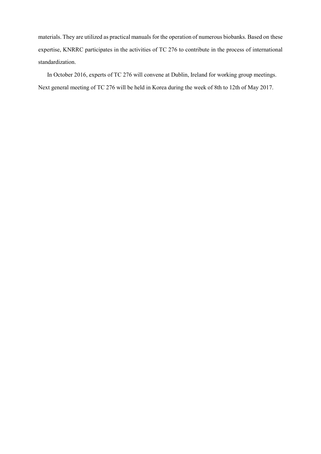materials. They are utilized as practical manuals for the operation of numerous biobanks. Based on these expertise, KNRRC participates in the activities of TC 276 to contribute in the process of international standardization.

In October 2016, experts of TC 276 will convene at Dublin, Ireland for working group meetings. Next general meeting of TC 276 will be held in Korea during the week of 8th to 12th of May 2017.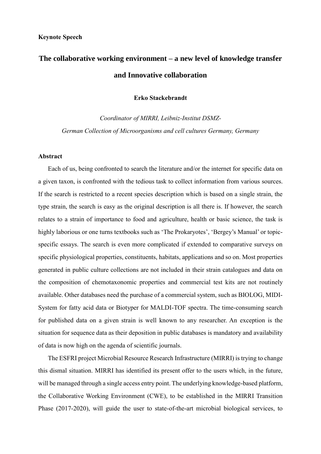# **The collaborative working environment – a new level of knowledge transfer and Innovative collaboration**

**Erko Stackebrandt**

*Coordinator of MIRRI, Leibniz-Institut DSMZ-German Collection of Microorganisms and cell cultures Germany, Germany*

## **Abstract**

Each of us, being confronted to search the literature and/or the internet for specific data on a given taxon, is confronted with the tedious task to collect information from various sources. If the search is restricted to a recent species description which is based on a single strain, the type strain, the search is easy as the original description is all there is. If however, the search relates to a strain of importance to food and agriculture, health or basic science, the task is highly laborious or one turns textbooks such as 'The Prokaryotes', 'Bergey's Manual' or topicspecific essays. The search is even more complicated if extended to comparative surveys on specific physiological properties, constituents, habitats, applications and so on. Most properties generated in public culture collections are not included in their strain catalogues and data on the composition of chemotaxonomic properties and commercial test kits are not routinely available. Other databases need the purchase of a commercial system, such as BIOLOG, MIDI-System for fatty acid data or Biotyper for MALDI-TOF spectra. The time-consuming search for published data on a given strain is well known to any researcher. An exception is the situation for sequence data as their deposition in public databases is mandatory and availability of data is now high on the agenda of scientific journals.

The ESFRI project Microbial Resource Research Infrastructure (MIRRI) is trying to change this dismal situation. MIRRI has identified its present offer to the users which, in the future, will be managed through a single access entry point. The underlying knowledge-based platform, the Collaborative Working Environment (CWE), to be established in the MIRRI Transition Phase (2017-2020), will guide the user to state-of-the-art microbial biological services, to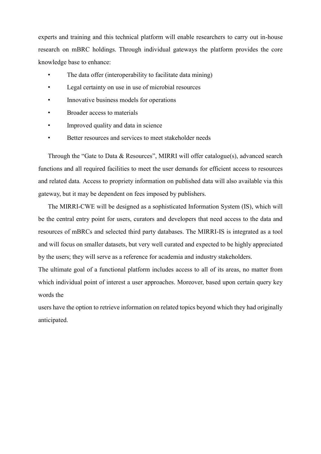experts and training and this technical platform will enable researchers to carry out in-house research on mBRC holdings. Through individual gateways the platform provides the core knowledge base to enhance:

- The data offer (interoperability to facilitate data mining)
- Legal certainty on use in use of microbial resources
- Innovative business models for operations
- Broader access to materials
- Improved quality and data in science
- Better resources and services to meet stakeholder needs

Through the "Gate to Data & Resources", MIRRI will offer catalogue(s), advanced search functions and all required facilities to meet the user demands for efficient access to resources and related data*.* Access to propriety information on published data will also available via this gateway, but it may be dependent on fees imposed by publishers.

The MIRRI-CWE will be designed as a sophisticated Information System (IS), which will be the central entry point for users, curators and developers that need access to the data and resources of mBRCs and selected third party databases. The MIRRI-IS is integrated as a tool and will focus on smaller datasets, but very well curated and expected to be highly appreciated by the users; they will serve as a reference for academia and industry stakeholders.

The ultimate goal of a functional platform includes access to all of its areas, no matter from which individual point of interest a user approaches. Moreover, based upon certain query key words the

users have the option to retrieve information on related topics beyond which they had originally anticipated.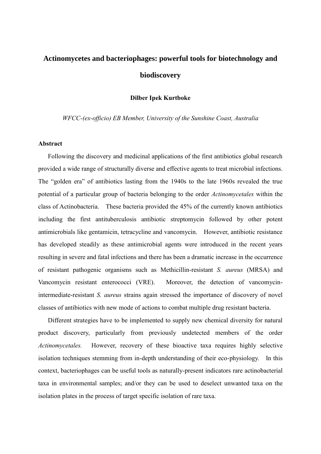# **Actinomycetes and bacteriophages: powerful tools for biotechnology and biodiscovery**

**Dilber Ipek Kurtboke**

*WFCC-(ex-officio) EB Member, University of the Sunshine Coast, Australia*

#### **Abstract**

Following the discovery and medicinal applications of the first antibiotics global research provided a wide range of structurally diverse and effective agents to treat microbial infections. The "golden era" of antibiotics lasting from the 1940s to the late 1960s revealed the true potential of a particular group of bacteria belonging to the order *Actinomycetales* within the class of Actinobacteria. These bacteria provided the 45% of the currently known antibiotics including the first antituberculosis antibiotic streptomycin followed by other potent antimicrobials like gentamicin, tetracycline and vancomycin. However, antibiotic resistance has developed steadily as these antimicrobial agents were introduced in the recent years resulting in severe and fatal infections and there has been a dramatic increase in the occurrence of resistant pathogenic organisms such as Methicillin-resistant *S. aureus* (MRSA) and Vancomycin resistant enterococci (VRE). Moreover, the detection of vancomycinintermediate-resistant *S. aureus* strains again stressed the importance of discovery of novel classes of antibiotics with new mode of actions to combat multiple drug resistant bacteria.

Different strategies have to be implemented to supply new chemical diversity for natural product discovery, particularly from previously undetected members of the order *Actinomycetales.* However, recovery of these bioactive taxa requires highly selective isolation techniques stemming from in-depth understanding of their eco-physiology. In this context, bacteriophages can be useful tools as naturally-present indicators rare actinobacterial taxa in environmental samples; and/or they can be used to deselect unwanted taxa on the isolation plates in the process of target specific isolation of rare taxa.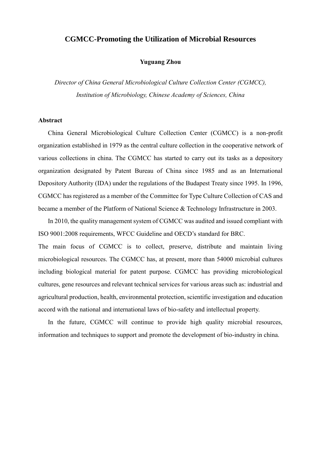# **CGMCC-Promoting the Utilization of Microbial Resources**

## **Yuguang Zhou**

*Director of China General Microbiological Culture Collection Center (CGMCC), Institution of Microbiology, Chinese Academy of Sciences, China*

### **Abstract**

China General Microbiological Culture Collection Center (CGMCC) is a non-profit organization established in 1979 as the central culture collection in the cooperative network of various collections in china. The CGMCC has started to carry out its tasks as a depository organization designated by Patent Bureau of China since 1985 and as an International Depository Authority (IDA) under the regulations of the Budapest Treaty since 1995. In 1996, CGMCC has registered as a member of the Committee for Type Culture Collection of CAS and became a member of the Platform of National Science & Technology Infrastructure in 2003.

In 2010, the quality management system of CGMCC was audited and issued compliant with ISO 9001:2008 requirements, WFCC Guideline and OECD's standard for BRC.

The main focus of CGMCC is to collect, preserve, distribute and maintain living microbiological resources. The CGMCC has, at present, more than 54000 microbial cultures including biological material for patent purpose. CGMCC has providing microbiological cultures, gene resources and relevant technical services for various areas such as: industrial and agricultural production, health, environmental protection, scientific investigation and education accord with the national and international laws of bio-safety and intellectual property.

In the future, CGMCC will continue to provide high quality microbial resources, information and techniques to support and promote the development of bio-industry in china.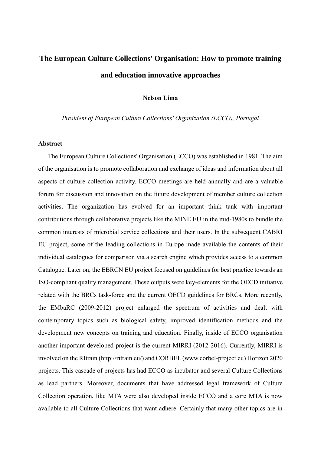# **The European Culture Collections' Organisation: How to promote training and education innovative approaches**

## **Nelson Lima**

*President of European Culture Collections' Organization (ECCO), Portugal*

#### **Abstract**

The European Culture Collections' Organisation (ECCO) was established in 1981. The aim of the organisation is to promote collaboration and exchange of ideas and information about all aspects of culture collection activity. ECCO meetings are held annually and are a valuable forum for discussion and innovation on the future development of member culture collection activities. The organization has evolved for an important think tank with important contributions through collaborative projects like the MINE EU in the mid-1980s to bundle the common interests of microbial service collections and their users. In the subsequent CABRI EU project, some of the leading collections in Europe made available the contents of their individual catalogues for comparison via a search engine which provides access to a common Catalogue. Later on, the EBRCN EU project focused on guidelines for best practice towards an ISO-compliant quality management. These outputs were key-elements for the OECD initiative related with the BRCs task-force and the current OECD guidelines for BRCs. More recently, the EMbaRC (2009-2012) project enlarged the spectrum of activities and dealt with contemporary topics such as biological safety, improved identification methods and the development new concepts on training and education. Finally, inside of ECCO organisation another important developed project is the current MIRRI (2012-2016). Currently, MIRRI is involved on the RItrain (http://ritrain.eu/) and CORBEL (www.corbel-project.eu) Horizon 2020 projects. This cascade of projects has had ECCO as incubator and several Culture Collections as lead partners. Moreover, documents that have addressed legal framework of Culture Collection operation, like MTA were also developed inside ECCO and a core MTA is now available to all Culture Collections that want adhere. Certainly that many other topics are in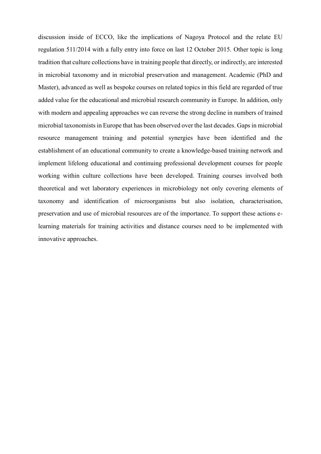discussion inside of ECCO, like the implications of Nagoya Protocol and the relate EU regulation 511/2014 with a fully entry into force on last 12 October 2015. Other topic is long tradition that culture collections have in training people that directly, or indirectly, are interested in microbial taxonomy and in microbial preservation and management. Academic (PhD and Master), advanced as well as bespoke courses on related topics in this field are regarded of true added value for the educational and microbial research community in Europe. In addition, only with modern and appealing approaches we can reverse the strong decline in numbers of trained microbial taxonomists in Europe that has been observed over the last decades. Gaps in microbial resource management training and potential synergies have been identified and the establishment of an educational community to create a knowledge-based training network and implement lifelong educational and continuing professional development courses for people working within culture collections have been developed. Training courses involved both theoretical and wet laboratory experiences in microbiology not only covering elements of taxonomy and identification of microorganisms but also isolation, characterisation, preservation and use of microbial resources are of the importance. To support these actions elearning materials for training activities and distance courses need to be implemented with innovative approaches.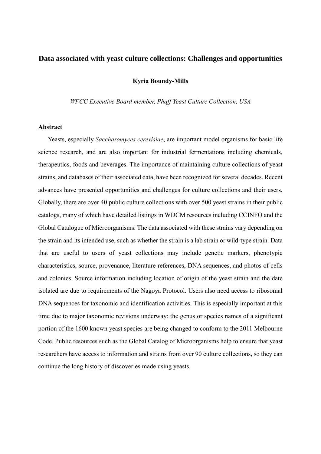# **Data associated with yeast culture collections: Challenges and opportunities**

**Kyria Boundy-Mills**

*WFCC Executive Board member, Phaff Yeast Culture Collection, USA*

#### **Abstract**

Yeasts, especially *Saccharomyces cerevisiae*, are important model organisms for basic life science research, and are also important for industrial fermentations including chemicals, therapeutics, foods and beverages. The importance of maintaining culture collections of yeast strains, and databases of their associated data, have been recognized for several decades. Recent advances have presented opportunities and challenges for culture collections and their users. Globally, there are over 40 public culture collections with over 500 yeast strains in their public catalogs, many of which have detailed listings in WDCM resources including CCINFO and the Global Catalogue of Microorganisms. The data associated with these strains vary depending on the strain and its intended use, such as whether the strain is a lab strain or wild-type strain. Data that are useful to users of yeast collections may include genetic markers, phenotypic characteristics, source, provenance, literature references, DNA sequences, and photos of cells and colonies. Source information including location of origin of the yeast strain and the date isolated are due to requirements of the Nagoya Protocol. Users also need access to ribosomal DNA sequences for taxonomic and identification activities. This is especially important at this time due to major taxonomic revisions underway: the genus or species names of a significant portion of the 1600 known yeast species are being changed to conform to the 2011 Melbourne Code. Public resources such as the Global Catalog of Microorganisms help to ensure that yeast researchers have access to information and strains from over 90 culture collections, so they can continue the long history of discoveries made using yeasts.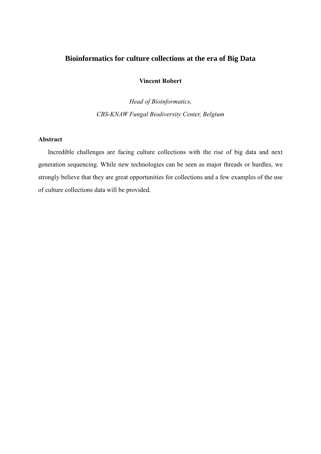# **Bioinformatics for culture collections at the era of Big Data**

# **Vincent Robert**

*Head of Bioinformatics, CBS-KNAW Fungal Biodiversity Center, Belgium*

# **Abstract**

Incredible challenges are facing culture collections with the rise of big data and next generation sequencing. While new technologies can be seen as major threads or hurdles, we strongly believe that they are great opportunities for collections and a few examples of the use of culture collections data will be provided.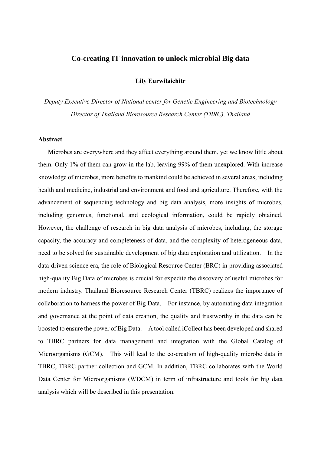# **Co-creating IT innovation to unlock microbial Big data**

**Lily Eurwilaichitr**

*Deputy Executive Director of National center for Genetic Engineering and Biotechnology Director of Thailand Bioresource Research Center (TBRC), Thailand*

#### **Abstract**

Microbes are everywhere and they affect everything around them, yet we know little about them. Only 1% of them can grow in the lab, leaving 99% of them unexplored. With increase knowledge of microbes, more benefits to mankind could be achieved in several areas, including health and medicine, industrial and environment and food and agriculture. Therefore, with the advancement of sequencing technology and big data analysis, more insights of microbes, including genomics, functional, and ecological information, could be rapidly obtained. However, the challenge of research in big data analysis of microbes, including, the storage capacity, the accuracy and completeness of data, and the complexity of heterogeneous data, need to be solved for sustainable development of big data exploration and utilization. In the data-driven science era, the role of Biological Resource Center (BRC) in providing associated high-quality Big Data of microbes is crucial for expedite the discovery of useful microbes for modern industry. Thailand Bioresource Research Center (TBRC) realizes the importance of collaboration to harness the power of Big Data. For instance, by automating data integration and governance at the point of data creation, the quality and trustworthy in the data can be boosted to ensure the power of Big Data. A tool called iCollect has been developed and shared to TBRC partners for data management and integration with the Global Catalog of Microorganisms (GCM). This will lead to the co-creation of high-quality microbe data in TBRC, TBRC partner collection and GCM. In addition, TBRC collaborates with the World Data Center for Microorganisms (WDCM) in term of infrastructure and tools for big data analysis which will be described in this presentation.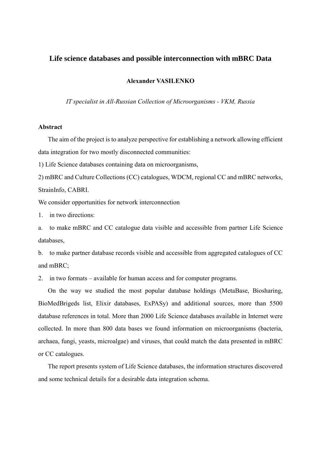# **Life science databases and possible interconnection with mBRC Data**

### **Alexander VASILENKO**

*IT specialist in All-Russian Collection of Microorganisms - VKM, Russia*

# **Abstract**

The aim of the project is to analyze perspective for establishing a network allowing efficient data integration for two mostly disconnected communities:

1) Life Science databases containing data on microorganisms,

2) mBRC and Culture Collections (CC) catalogues, WDCM, regional CC and mBRC networks, StrainInfo, CABRI.

We consider opportunities for network interconnection

1. in two directions:

a. to make mBRC and CC catalogue data visible and accessible from partner Life Science databases,

b. to make partner database records visible and accessible from aggregated catalogues of CC and mBRC;

2. in two formats – available for human access and for computer programs.

On the way we studied the most popular database holdings (MetaBase, Biosharing, BioMedBrigeds list, Elixir databases, ExPASy) and additional sources, more than 5500 database references in total. More than 2000 Life Science databases available in Internet were collected. In more than 800 data bases we found information on microorganisms (bacteria, archaea, fungi, yeasts, microalgae) and viruses, that could match the data presented in mBRC or CC catalogues.

The report presents system of Life Science databases, the information structures discovered and some technical details for a desirable data integration schema.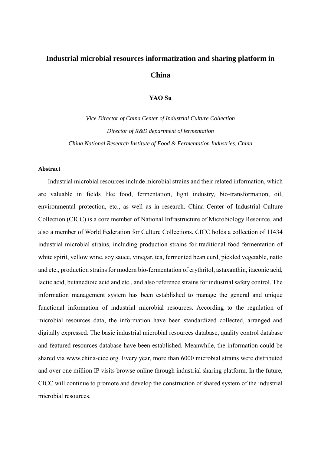# **Industrial microbial resources informatization and sharing platform in China**

# **YAO Su**

*Vice Director of China Center of Industrial Culture Collection Director of R&D department of fermentation China National Research Institute of Food & Fermentation Industries, China*

#### **Abstract**

Industrial microbial resources include microbial strains and their related information, which are valuable in fields like food, fermentation, light industry, bio-transformation, oil, environmental protection, etc., as well as in research. China Center of Industrial Culture Collection (CICC) is a core member of National Infrastructure of Microbiology Resource, and also a member of World Federation for Culture Collections. CICC holds a collection of 11434 industrial microbial strains, including production strains for traditional food fermentation of white spirit, yellow wine, soy sauce, vinegar, tea, fermented bean curd, pickled vegetable, natto and etc., production strains for modern bio-fermentation of erythritol, astaxanthin, itaconic acid, lactic acid, butanedioic acid and etc., and also reference strains for industrial safety control. The information management system has been established to manage the general and unique functional information of industrial microbial resources. According to the regulation of microbial resources data, the information have been standardized collected, arranged and digitally expressed. The basic industrial microbial resources database, quality control database and featured resources database have been established. Meanwhile, the information could be shared via www.china-cicc.org. Every year, more than 6000 microbial strains were distributed and over one million IP visits browse online through industrial sharing platform. In the future, CICC will continue to promote and develop the construction of shared system of the industrial microbial resources.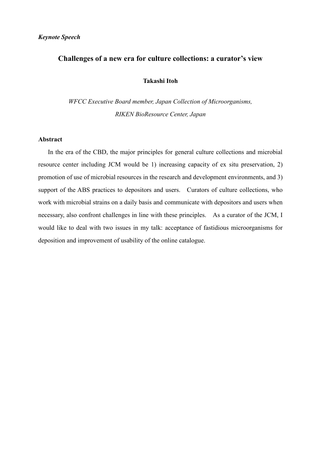# **Challenges of a new era for culture collections: a curator's view**

# **Takashi Itoh**

*WFCC Executive Board member, Japan Collection of Microorganisms, RIKEN BioResource Center, Japan*

## **Abstract**

In the era of the CBD, the major principles for general culture collections and microbial resource center including JCM would be 1) increasing capacity of ex situ preservation, 2) promotion of use of microbial resources in the research and development environments, and 3) support of the ABS practices to depositors and users. Curators of culture collections, who work with microbial strains on a daily basis and communicate with depositors and users when necessary, also confront challenges in line with these principles. As a curator of the JCM, I would like to deal with two issues in my talk: acceptance of fastidious microorganisms for deposition and improvement of usability of the online catalogue.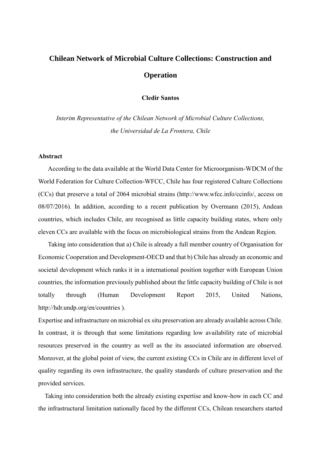# **Chilean Network of Microbial Culture Collections: Construction and Operation**

**Cledir Santos**

*Interim Representative of the Chilean Network of Microbial Culture Collections, the Universidad de La Frontera, Chile*

# **Abstract**

According to the data available at the World Data Center for Microorganism-WDCM of the World Federation for Culture Collection-WFCC, Chile has four registered Culture Collections (CCs) that preserve a total of 2064 microbial strains (http://www.wfcc.info/ccinfo/, access on 08/07/2016). In addition, according to a recent publication by Overmann (2015), Andean countries, which includes Chile, are recognised as little capacity building states, where only eleven CCs are available with the focus on microbiological strains from the Andean Region.

Taking into consideration that a) Chile is already a full member country of Organisation for Economic Cooperation and Development-OECD and that b) Chile has already an economic and societal development which ranks it in a international position together with European Union countries, the information previously published about the little capacity building of Chile is not totally through (Human Development Report 2015, United Nations, http://hdr.undp.org/en/countries ).

Expertise and infrastructure on microbial ex situ preservation are already available across Chile. In contrast, it is through that some limitations regarding low availability rate of microbial resources preserved in the country as well as the its associated information are observed. Moreover, at the global point of view, the current existing CCs in Chile are in different level of quality regarding its own infrastructure, the quality standards of culture preservation and the provided services.

Taking into consideration both the already existing expertise and know-how in each CC and the infrastructural limitation nationally faced by the different CCs, Chilean researchers started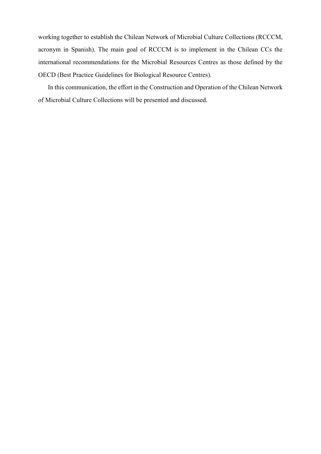working together to establish the Chilean Network of Microbial Culture Collections (RCCCM, acronym in Spanish). The main goal of RCCCM is to implement in the Chilean CCs the international recommendations for the Microbial Resources Centres as those defined by the OECD (Best Practice Guidelines for Biological Resource Centres).

In this communication, the effort in the Construction and Operation of the Chilean Network of Microbial Culture Collections will be presented and discussed.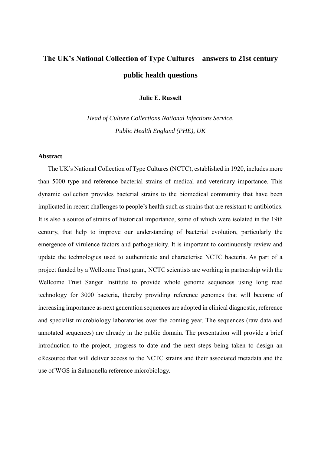# **The UK's National Collection of Type Cultures – answers to 21st century public health questions**

**Julie E. Russell**

*Head of Culture Collections National Infections Service, Public Health England (PHE), UK*

## **Abstract**

The UK's National Collection of Type Cultures (NCTC), established in 1920, includes more than 5000 type and reference bacterial strains of medical and veterinary importance. This dynamic collection provides bacterial strains to the biomedical community that have been implicated in recent challenges to people's health such as strains that are resistant to antibiotics. It is also a source of strains of historical importance, some of which were isolated in the 19th century, that help to improve our understanding of bacterial evolution, particularly the emergence of virulence factors and pathogenicity. It is important to continuously review and update the technologies used to authenticate and characterise NCTC bacteria. As part of a project funded by a Wellcome Trust grant, NCTC scientists are working in partnership with the Wellcome Trust Sanger Institute to provide whole genome sequences using long read technology for 3000 bacteria, thereby providing reference genomes that will become of increasing importance as next generation sequences are adopted in clinical diagnostic, reference and specialist microbiology laboratories over the coming year. The sequences (raw data and annotated sequences) are already in the public domain. The presentation will provide a brief introduction to the project, progress to date and the next steps being taken to design an eResource that will deliver access to the NCTC strains and their associated metadata and the use of WGS in Salmonella reference microbiology.